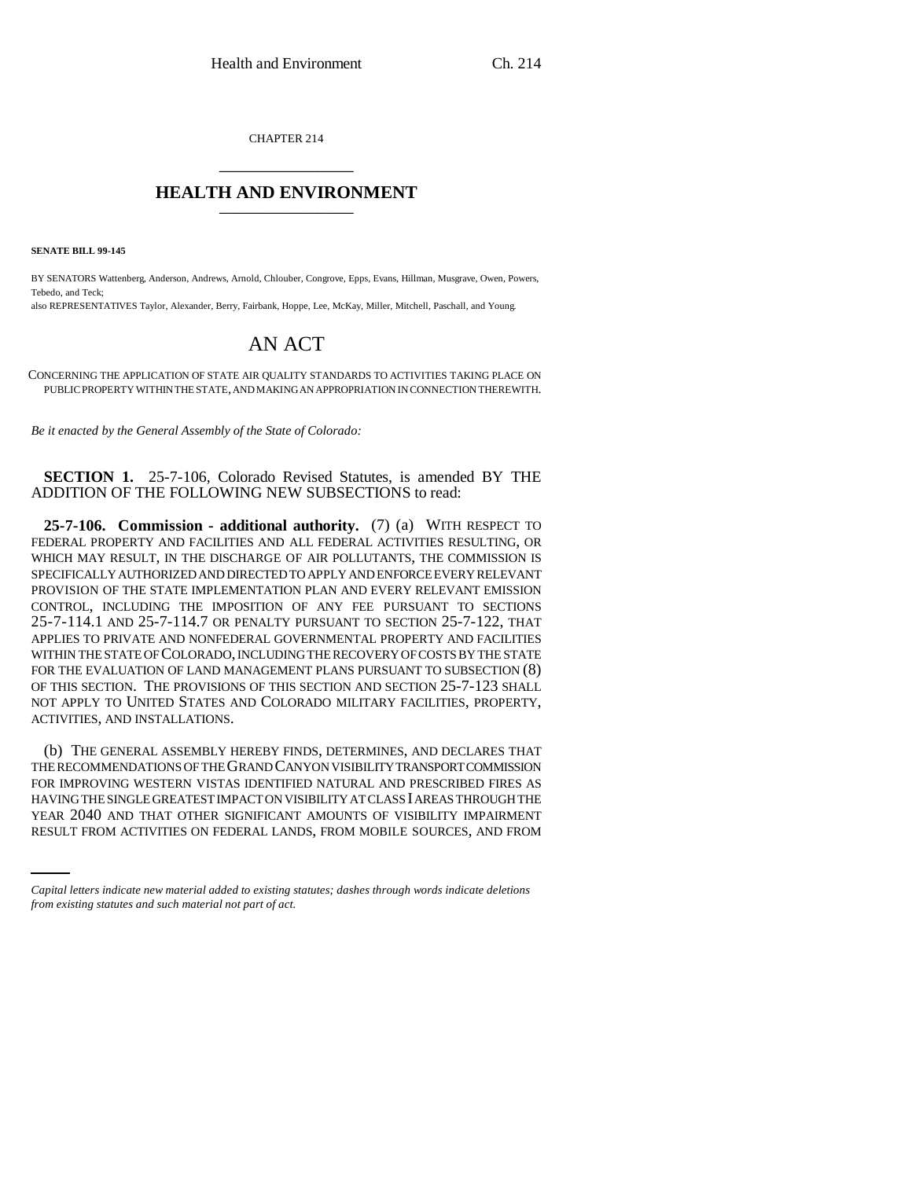CHAPTER 214 \_\_\_\_\_\_\_\_\_\_\_\_\_\_\_

## **HEALTH AND ENVIRONMENT** \_\_\_\_\_\_\_\_\_\_\_\_\_\_\_

**SENATE BILL 99-145** 

BY SENATORS Wattenberg, Anderson, Andrews, Arnold, Chlouber, Congrove, Epps, Evans, Hillman, Musgrave, Owen, Powers, Tebedo, and Teck;

also REPRESENTATIVES Taylor, Alexander, Berry, Fairbank, Hoppe, Lee, McKay, Miller, Mitchell, Paschall, and Young.

## AN ACT

CONCERNING THE APPLICATION OF STATE AIR QUALITY STANDARDS TO ACTIVITIES TAKING PLACE ON PUBLIC PROPERTY WITHIN THE STATE, AND MAKING AN APPROPRIATION IN CONNECTION THEREWITH.

*Be it enacted by the General Assembly of the State of Colorado:*

**SECTION 1.** 25-7-106, Colorado Revised Statutes, is amended BY THE ADDITION OF THE FOLLOWING NEW SUBSECTIONS to read:

**25-7-106. Commission - additional authority.** (7) (a) WITH RESPECT TO FEDERAL PROPERTY AND FACILITIES AND ALL FEDERAL ACTIVITIES RESULTING, OR WHICH MAY RESULT, IN THE DISCHARGE OF AIR POLLUTANTS, THE COMMISSION IS SPECIFICALLY AUTHORIZED AND DIRECTED TO APPLY AND ENFORCE EVERY RELEVANT PROVISION OF THE STATE IMPLEMENTATION PLAN AND EVERY RELEVANT EMISSION CONTROL, INCLUDING THE IMPOSITION OF ANY FEE PURSUANT TO SECTIONS 25-7-114.1 AND 25-7-114.7 OR PENALTY PURSUANT TO SECTION 25-7-122, THAT APPLIES TO PRIVATE AND NONFEDERAL GOVERNMENTAL PROPERTY AND FACILITIES WITHIN THE STATE OF COLORADO, INCLUDING THE RECOVERY OF COSTS BY THE STATE FOR THE EVALUATION OF LAND MANAGEMENT PLANS PURSUANT TO SUBSECTION (8) OF THIS SECTION. THE PROVISIONS OF THIS SECTION AND SECTION 25-7-123 SHALL NOT APPLY TO UNITED STATES AND COLORADO MILITARY FACILITIES, PROPERTY, ACTIVITIES, AND INSTALLATIONS.

HAVING THE SINGLE GREATEST IMPACT ON VISIBILITY AT CLASS I AREAS THROUGH THE (b) THE GENERAL ASSEMBLY HEREBY FINDS, DETERMINES, AND DECLARES THAT THE RECOMMENDATIONS OF THE GRAND CANYON VISIBILITY TRANSPORT COMMISSION FOR IMPROVING WESTERN VISTAS IDENTIFIED NATURAL AND PRESCRIBED FIRES AS YEAR 2040 AND THAT OTHER SIGNIFICANT AMOUNTS OF VISIBILITY IMPAIRMENT RESULT FROM ACTIVITIES ON FEDERAL LANDS, FROM MOBILE SOURCES, AND FROM

*Capital letters indicate new material added to existing statutes; dashes through words indicate deletions from existing statutes and such material not part of act.*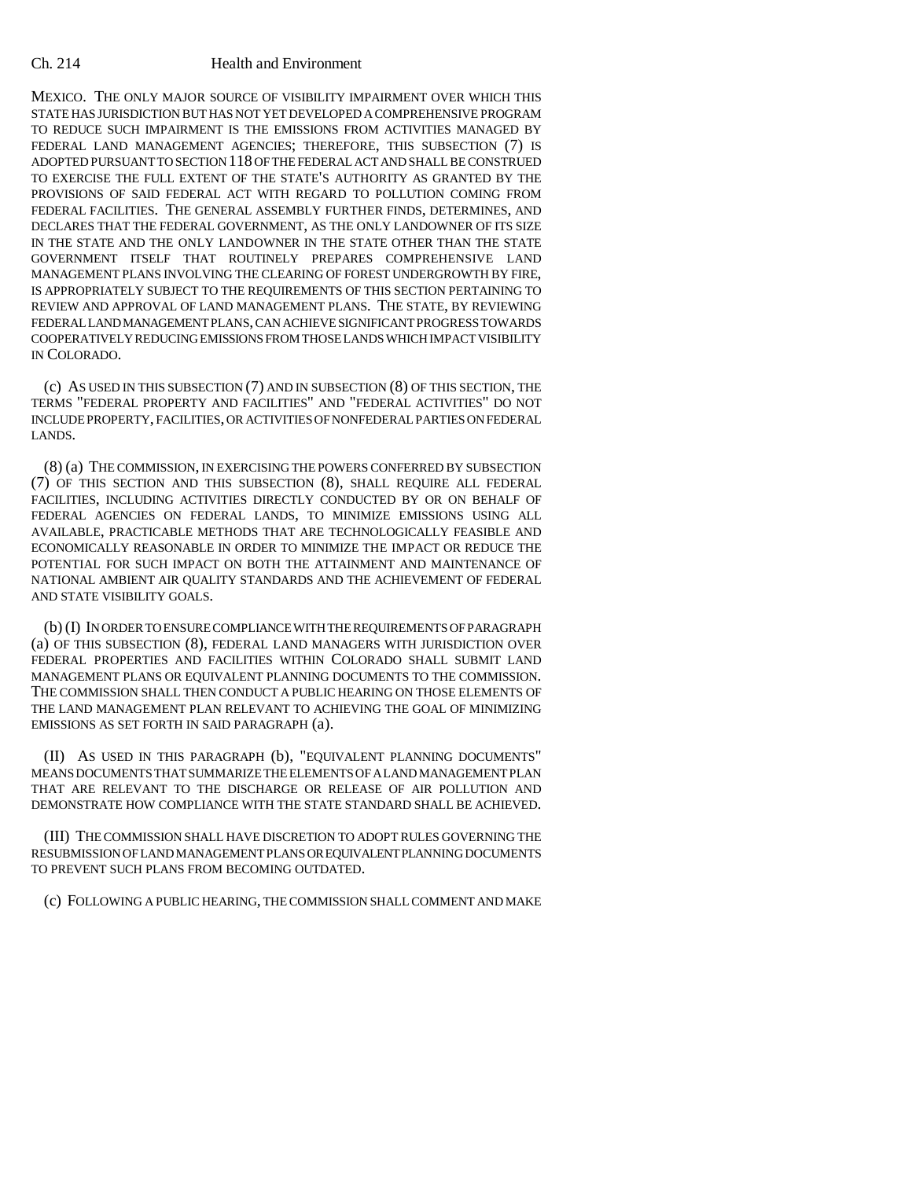## Ch. 214 Health and Environment

MEXICO. THE ONLY MAJOR SOURCE OF VISIBILITY IMPAIRMENT OVER WHICH THIS STATE HAS JURISDICTION BUT HAS NOT YET DEVELOPED A COMPREHENSIVE PROGRAM TO REDUCE SUCH IMPAIRMENT IS THE EMISSIONS FROM ACTIVITIES MANAGED BY FEDERAL LAND MANAGEMENT AGENCIES; THEREFORE, THIS SUBSECTION (7) IS ADOPTED PURSUANT TO SECTION 118 OF THE FEDERAL ACT AND SHALL BE CONSTRUED TO EXERCISE THE FULL EXTENT OF THE STATE'S AUTHORITY AS GRANTED BY THE PROVISIONS OF SAID FEDERAL ACT WITH REGARD TO POLLUTION COMING FROM FEDERAL FACILITIES. THE GENERAL ASSEMBLY FURTHER FINDS, DETERMINES, AND DECLARES THAT THE FEDERAL GOVERNMENT, AS THE ONLY LANDOWNER OF ITS SIZE IN THE STATE AND THE ONLY LANDOWNER IN THE STATE OTHER THAN THE STATE GOVERNMENT ITSELF THAT ROUTINELY PREPARES COMPREHENSIVE LAND MANAGEMENT PLANS INVOLVING THE CLEARING OF FOREST UNDERGROWTH BY FIRE, IS APPROPRIATELY SUBJECT TO THE REQUIREMENTS OF THIS SECTION PERTAINING TO REVIEW AND APPROVAL OF LAND MANAGEMENT PLANS. THE STATE, BY REVIEWING FEDERAL LAND MANAGEMENT PLANS, CAN ACHIEVE SIGNIFICANT PROGRESS TOWARDS COOPERATIVELY REDUCING EMISSIONS FROM THOSE LANDS WHICH IMPACT VISIBILITY IN COLORADO.

(c) AS USED IN THIS SUBSECTION (7) AND IN SUBSECTION (8) OF THIS SECTION, THE TERMS "FEDERAL PROPERTY AND FACILITIES" AND "FEDERAL ACTIVITIES" DO NOT INCLUDE PROPERTY, FACILITIES, OR ACTIVITIES OF NONFEDERAL PARTIES ON FEDERAL LANDS.

(8) (a) THE COMMISSION, IN EXERCISING THE POWERS CONFERRED BY SUBSECTION (7) OF THIS SECTION AND THIS SUBSECTION (8), SHALL REQUIRE ALL FEDERAL FACILITIES, INCLUDING ACTIVITIES DIRECTLY CONDUCTED BY OR ON BEHALF OF FEDERAL AGENCIES ON FEDERAL LANDS, TO MINIMIZE EMISSIONS USING ALL AVAILABLE, PRACTICABLE METHODS THAT ARE TECHNOLOGICALLY FEASIBLE AND ECONOMICALLY REASONABLE IN ORDER TO MINIMIZE THE IMPACT OR REDUCE THE POTENTIAL FOR SUCH IMPACT ON BOTH THE ATTAINMENT AND MAINTENANCE OF NATIONAL AMBIENT AIR QUALITY STANDARDS AND THE ACHIEVEMENT OF FEDERAL AND STATE VISIBILITY GOALS.

(b) (I) IN ORDER TO ENSURE COMPLIANCE WITH THE REQUIREMENTS OF PARAGRAPH (a) OF THIS SUBSECTION (8), FEDERAL LAND MANAGERS WITH JURISDICTION OVER FEDERAL PROPERTIES AND FACILITIES WITHIN COLORADO SHALL SUBMIT LAND MANAGEMENT PLANS OR EQUIVALENT PLANNING DOCUMENTS TO THE COMMISSION. THE COMMISSION SHALL THEN CONDUCT A PUBLIC HEARING ON THOSE ELEMENTS OF THE LAND MANAGEMENT PLAN RELEVANT TO ACHIEVING THE GOAL OF MINIMIZING EMISSIONS AS SET FORTH IN SAID PARAGRAPH (a).

(II) AS USED IN THIS PARAGRAPH (b), "EQUIVALENT PLANNING DOCUMENTS" MEANS DOCUMENTS THAT SUMMARIZE THE ELEMENTS OF A LAND MANAGEMENT PLAN THAT ARE RELEVANT TO THE DISCHARGE OR RELEASE OF AIR POLLUTION AND DEMONSTRATE HOW COMPLIANCE WITH THE STATE STANDARD SHALL BE ACHIEVED.

(III) THE COMMISSION SHALL HAVE DISCRETION TO ADOPT RULES GOVERNING THE RESUBMISSION OF LAND MANAGEMENT PLANS OR EQUIVALENT PLANNING DOCUMENTS TO PREVENT SUCH PLANS FROM BECOMING OUTDATED.

(c) FOLLOWING A PUBLIC HEARING, THE COMMISSION SHALL COMMENT AND MAKE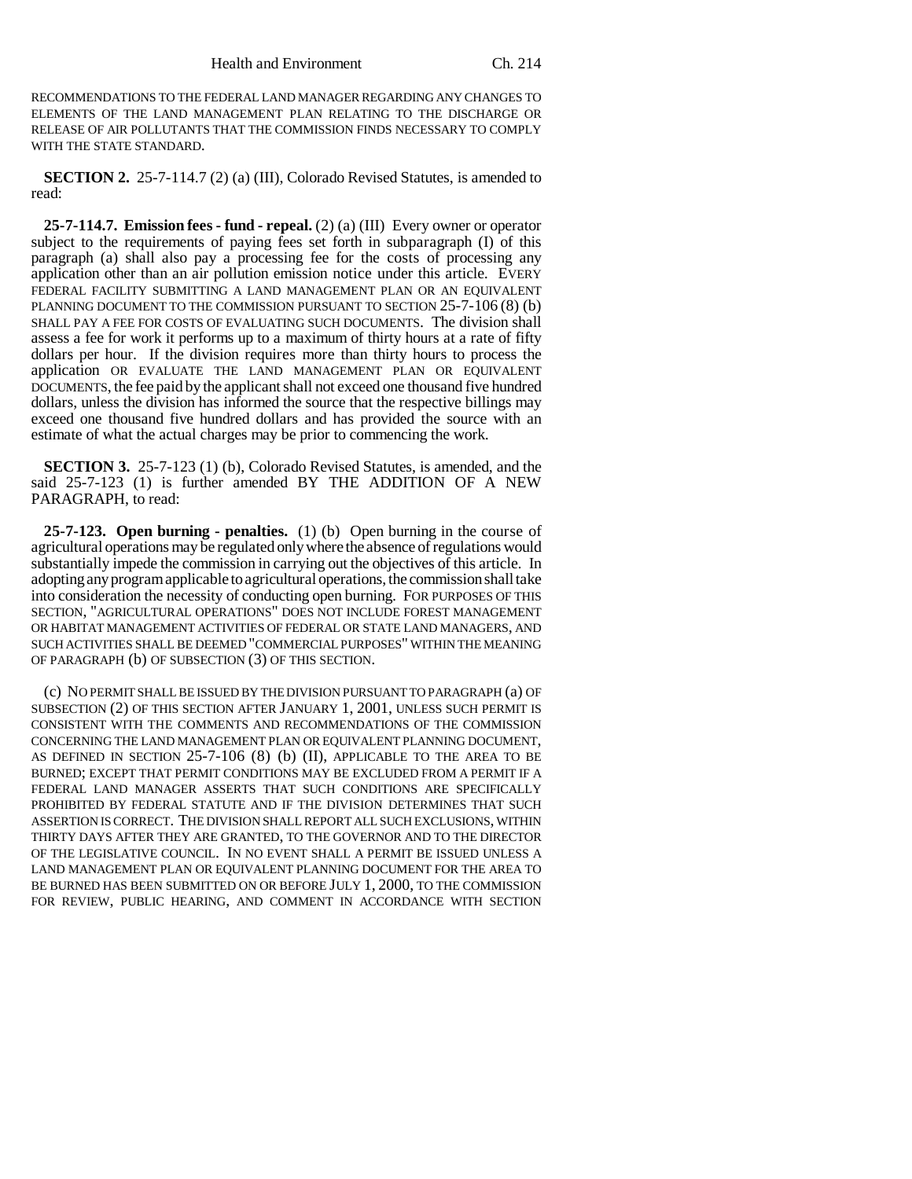RECOMMENDATIONS TO THE FEDERAL LAND MANAGER REGARDING ANY CHANGES TO ELEMENTS OF THE LAND MANAGEMENT PLAN RELATING TO THE DISCHARGE OR RELEASE OF AIR POLLUTANTS THAT THE COMMISSION FINDS NECESSARY TO COMPLY WITH THE STATE STANDARD.

**SECTION 2.** 25-7-114.7 (2) (a) (III), Colorado Revised Statutes, is amended to read:

**25-7-114.7. Emission fees - fund - repeal.** (2) (a) (III) Every owner or operator subject to the requirements of paying fees set forth in subparagraph (I) of this paragraph (a) shall also pay a processing fee for the costs of processing any application other than an air pollution emission notice under this article. EVERY FEDERAL FACILITY SUBMITTING A LAND MANAGEMENT PLAN OR AN EQUIVALENT PLANNING DOCUMENT TO THE COMMISSION PURSUANT TO SECTION 25-7-106 (8) (b) SHALL PAY A FEE FOR COSTS OF EVALUATING SUCH DOCUMENTS. The division shall assess a fee for work it performs up to a maximum of thirty hours at a rate of fifty dollars per hour. If the division requires more than thirty hours to process the application OR EVALUATE THE LAND MANAGEMENT PLAN OR EQUIVALENT DOCUMENTS, the fee paid by the applicant shall not exceed one thousand five hundred dollars, unless the division has informed the source that the respective billings may exceed one thousand five hundred dollars and has provided the source with an estimate of what the actual charges may be prior to commencing the work.

**SECTION 3.** 25-7-123 (1) (b), Colorado Revised Statutes, is amended, and the said 25-7-123 (1) is further amended BY THE ADDITION OF A NEW PARAGRAPH, to read:

**25-7-123. Open burning - penalties.** (1) (b) Open burning in the course of agricultural operations may be regulated only where the absence of regulations would substantially impede the commission in carrying out the objectives of this article. In adopting any program applicable to agricultural operations, the commission shall take into consideration the necessity of conducting open burning. FOR PURPOSES OF THIS SECTION, "AGRICULTURAL OPERATIONS" DOES NOT INCLUDE FOREST MANAGEMENT OR HABITAT MANAGEMENT ACTIVITIES OF FEDERAL OR STATE LAND MANAGERS, AND SUCH ACTIVITIES SHALL BE DEEMED "COMMERCIAL PURPOSES" WITHIN THE MEANING OF PARAGRAPH (b) OF SUBSECTION (3) OF THIS SECTION.

(c) NO PERMIT SHALL BE ISSUED BY THE DIVISION PURSUANT TO PARAGRAPH (a) OF SUBSECTION (2) OF THIS SECTION AFTER JANUARY 1, 2001, UNLESS SUCH PERMIT IS CONSISTENT WITH THE COMMENTS AND RECOMMENDATIONS OF THE COMMISSION CONCERNING THE LAND MANAGEMENT PLAN OR EQUIVALENT PLANNING DOCUMENT, AS DEFINED IN SECTION 25-7-106 (8) (b) (II), APPLICABLE TO THE AREA TO BE BURNED; EXCEPT THAT PERMIT CONDITIONS MAY BE EXCLUDED FROM A PERMIT IF A FEDERAL LAND MANAGER ASSERTS THAT SUCH CONDITIONS ARE SPECIFICALLY PROHIBITED BY FEDERAL STATUTE AND IF THE DIVISION DETERMINES THAT SUCH ASSERTION IS CORRECT. THE DIVISION SHALL REPORT ALL SUCH EXCLUSIONS, WITHIN THIRTY DAYS AFTER THEY ARE GRANTED, TO THE GOVERNOR AND TO THE DIRECTOR OF THE LEGISLATIVE COUNCIL. IN NO EVENT SHALL A PERMIT BE ISSUED UNLESS A LAND MANAGEMENT PLAN OR EQUIVALENT PLANNING DOCUMENT FOR THE AREA TO BE BURNED HAS BEEN SUBMITTED ON OR BEFORE JULY 1, 2000, TO THE COMMISSION FOR REVIEW, PUBLIC HEARING, AND COMMENT IN ACCORDANCE WITH SECTION